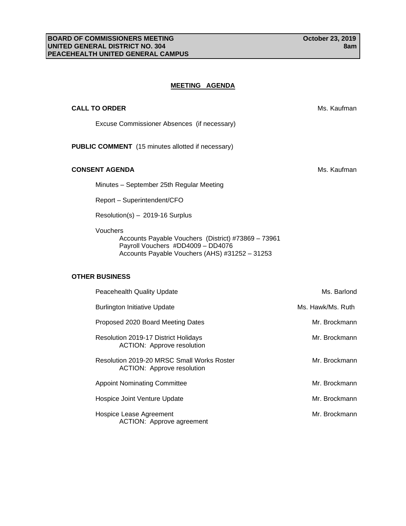## **MEETING AGENDA**

| <b>CALL TO ORDER</b>                                                                                                                                   | Ms. Kaufman       |
|--------------------------------------------------------------------------------------------------------------------------------------------------------|-------------------|
| Excuse Commissioner Absences (if necessary)                                                                                                            |                   |
| <b>PUBLIC COMMENT</b> (15 minutes allotted if necessary)                                                                                               |                   |
| <b>CONSENT AGENDA</b>                                                                                                                                  | Ms. Kaufman       |
| Minutes - September 25th Regular Meeting                                                                                                               |                   |
| Report - Superintendent/CFO                                                                                                                            |                   |
| Resolution(s) - 2019-16 Surplus                                                                                                                        |                   |
| Vouchers<br>Accounts Payable Vouchers (District) #73869 - 73961<br>Payroll Vouchers #DD4009 - DD4076<br>Accounts Payable Vouchers (AHS) #31252 - 31253 |                   |
| <b>OTHER BUSINESS</b>                                                                                                                                  |                   |
| Peacehealth Quality Update                                                                                                                             | Ms. Barlond       |
| <b>Burlington Initiative Update</b>                                                                                                                    | Ms. Hawk/Ms. Ruth |
| Proposed 2020 Board Meeting Dates                                                                                                                      | Mr. Brockmann     |
| Resolution 2019-17 District Holidays<br><b>ACTION: Approve resolution</b>                                                                              | Mr. Brockmann     |
| Resolution 2019-20 MRSC Small Works Roster<br><b>ACTION: Approve resolution</b>                                                                        | Mr. Brockmann     |
| <b>Appoint Nominating Committee</b>                                                                                                                    | Mr. Brockmann     |
| Hospice Joint Venture Update                                                                                                                           | Mr. Brockmann     |
| Hospice Lease Agreement<br>ACTION: Approve agreement                                                                                                   | Mr. Brockmann     |